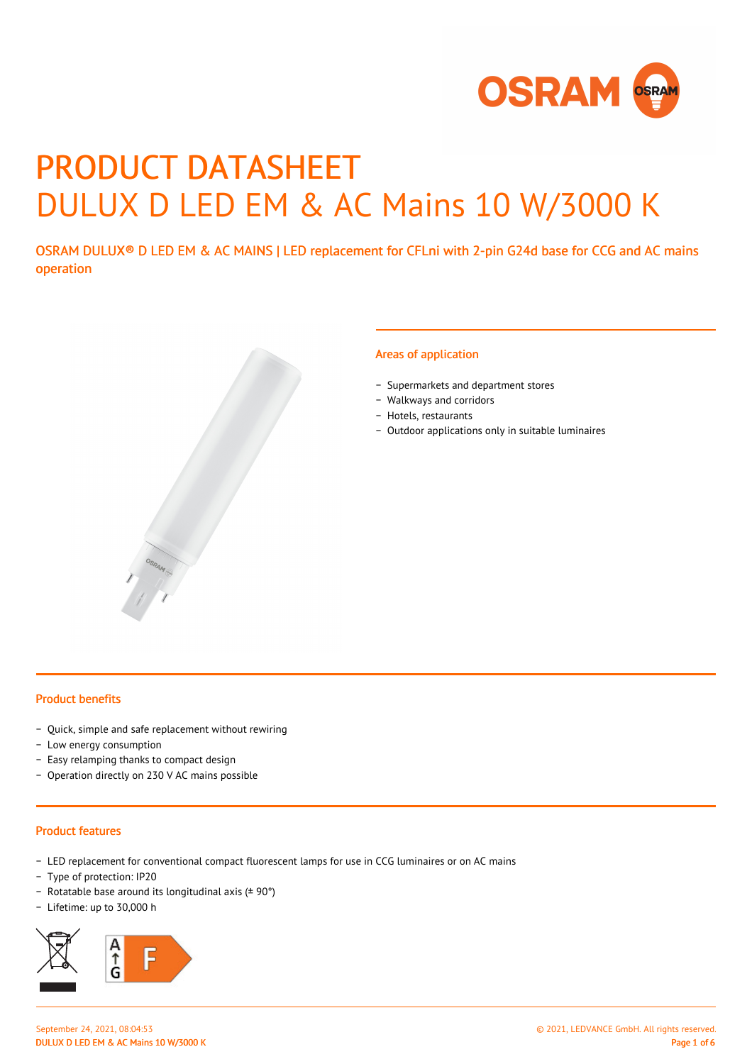

# PRODUCT DATASHEET DULUX D LED EM & AC Mains 10 W/3000 K

OSRAM DULUX® D LED EM & AC MAINS | LED replacement for CFLni with 2-pin G24d base for CCG and AC mains operation



#### Areas of application

- − Supermarkets and department stores
- − Walkways and corridors
- − Hotels, restaurants
- − Outdoor applications only in suitable luminaires

#### Product benefits

- − Quick, simple and safe replacement without rewiring
- − Low energy consumption
- − Easy relamping thanks to compact design
- − Operation directly on 230 V AC mains possible

#### Product features

- − LED replacement for conventional compact fluorescent lamps for use in CCG luminaires or on AC mains
- − Type of protection: IP20
- − Rotatable base around its longitudinal axis (± 90°)
- − Lifetime: up to 30,000 h

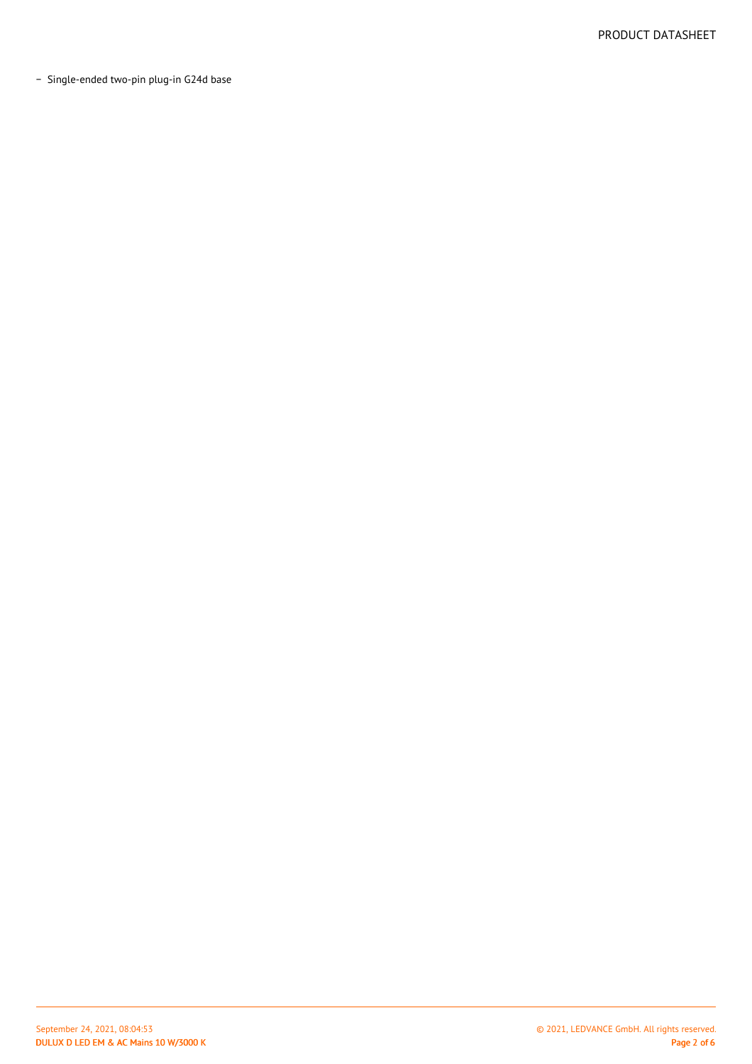− Single-ended two-pin plug-in G24d base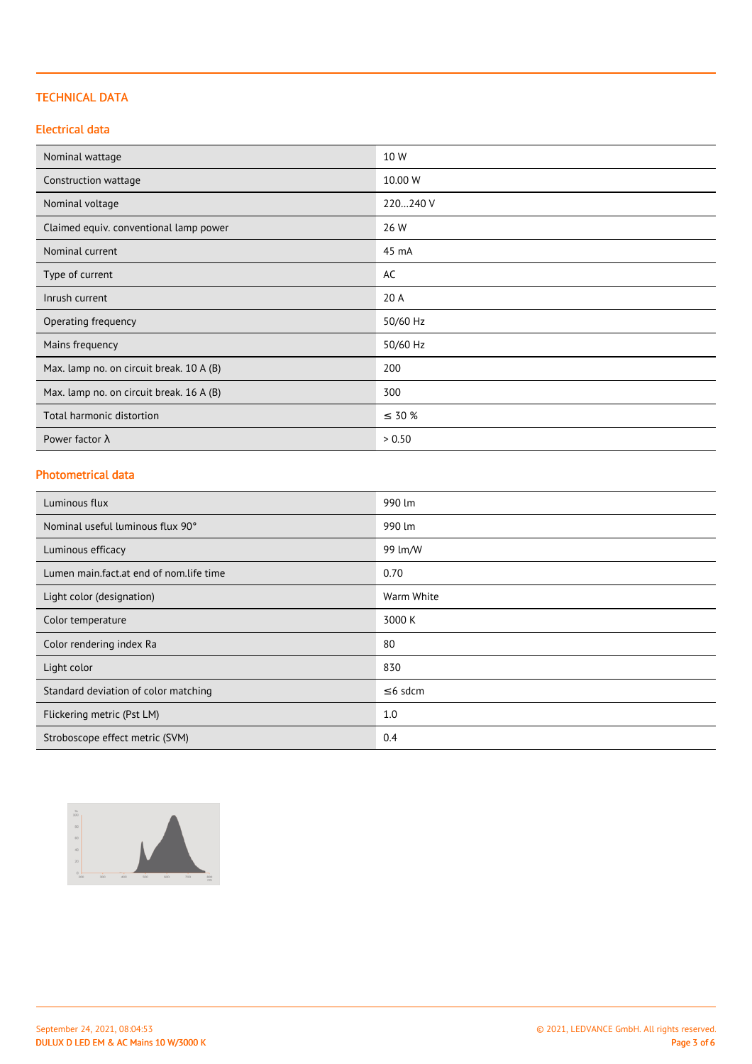## TECHNICAL DATA

## Electrical data

| Nominal wattage                          | 10 W        |
|------------------------------------------|-------------|
| Construction wattage                     | 10.00 W     |
| Nominal voltage                          | 220240 V    |
| Claimed equiv. conventional lamp power   | 26 W        |
| Nominal current                          | 45 mA       |
| Type of current                          | AC          |
| Inrush current                           | 20 A        |
| Operating frequency                      | 50/60 Hz    |
| Mains frequency                          | 50/60 Hz    |
| Max. lamp no. on circuit break. 10 A (B) | 200         |
| Max. lamp no. on circuit break. 16 A (B) | 300         |
| Total harmonic distortion                | $\leq$ 30 % |
| Power factor $\lambda$                   | > 0.50      |

#### Photometrical data

| Luminous flux                           | 990 lm        |
|-----------------------------------------|---------------|
| Nominal useful luminous flux 90°        | 990 lm        |
| Luminous efficacy                       | 99 lm/W       |
| Lumen main.fact.at end of nom.life time | 0.70          |
| Light color (designation)               | Warm White    |
| Color temperature                       | 3000 K        |
| Color rendering index Ra                | 80            |
| Light color                             | 830           |
| Standard deviation of color matching    | $\leq$ 6 sdcm |
| Flickering metric (Pst LM)              | 1.0           |
| Stroboscope effect metric (SVM)         | 0.4           |

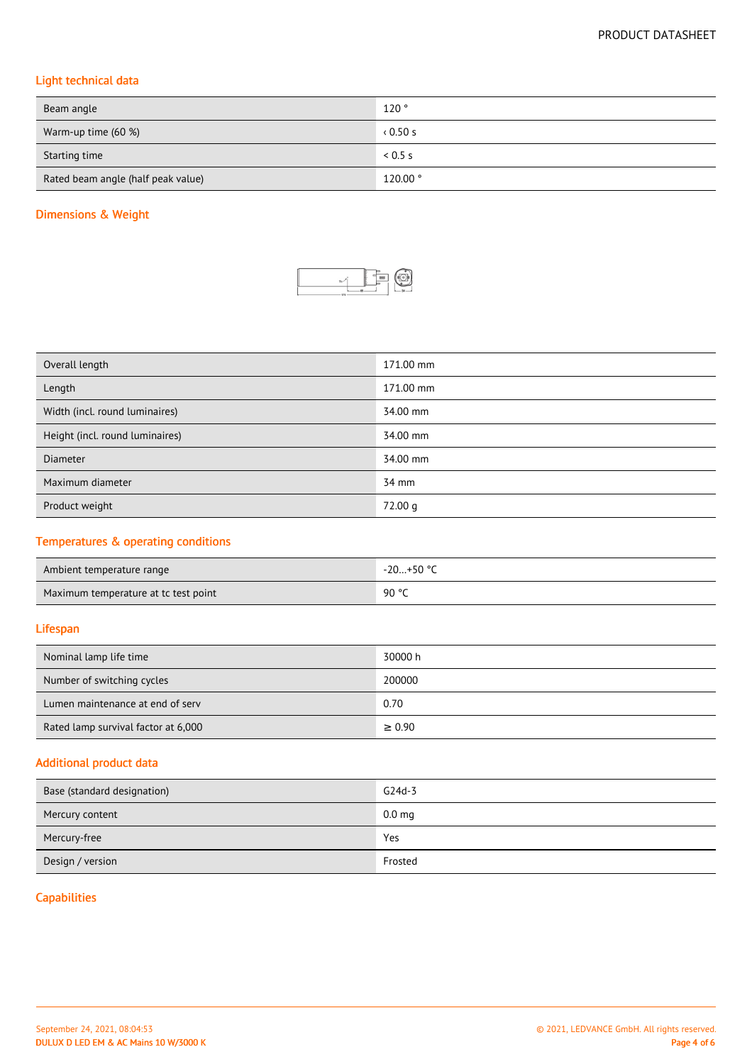# Light technical data

| Beam angle                         | 120°     |
|------------------------------------|----------|
| Warm-up time (60 %)                | 0.50s    |
| Starting time                      | 0.5s     |
| Rated beam angle (half peak value) | 120.00 ° |

# Dimensions & Weight



| Overall length                  | 171.00 mm |
|---------------------------------|-----------|
| Length                          | 171.00 mm |
| Width (incl. round luminaires)  | 34.00 mm  |
| Height (incl. round luminaires) | 34.00 mm  |
| <b>Diameter</b>                 | 34.00 mm  |
| Maximum diameter                | 34 mm     |
| Product weight                  | 72.00 g   |

# Temperatures & operating conditions

| Ambient temperature range            | -20+50 °C |
|--------------------------------------|-----------|
| Maximum temperature at tc test point | 90 °C     |

## Lifespan

| Nominal lamp life time              | 30000 h     |
|-------------------------------------|-------------|
| Number of switching cycles          | 200000      |
| Lumen maintenance at end of serv    | 0.70        |
| Rated lamp survival factor at 6,000 | $\geq 0.90$ |

## Additional product data

| Base (standard designation) | $G24d-3$          |
|-----------------------------|-------------------|
| Mercury content             | 0.0 <sub>mg</sub> |
| Mercury-free                | Yes               |
| Design / version            | Frosted           |

# **Capabilities**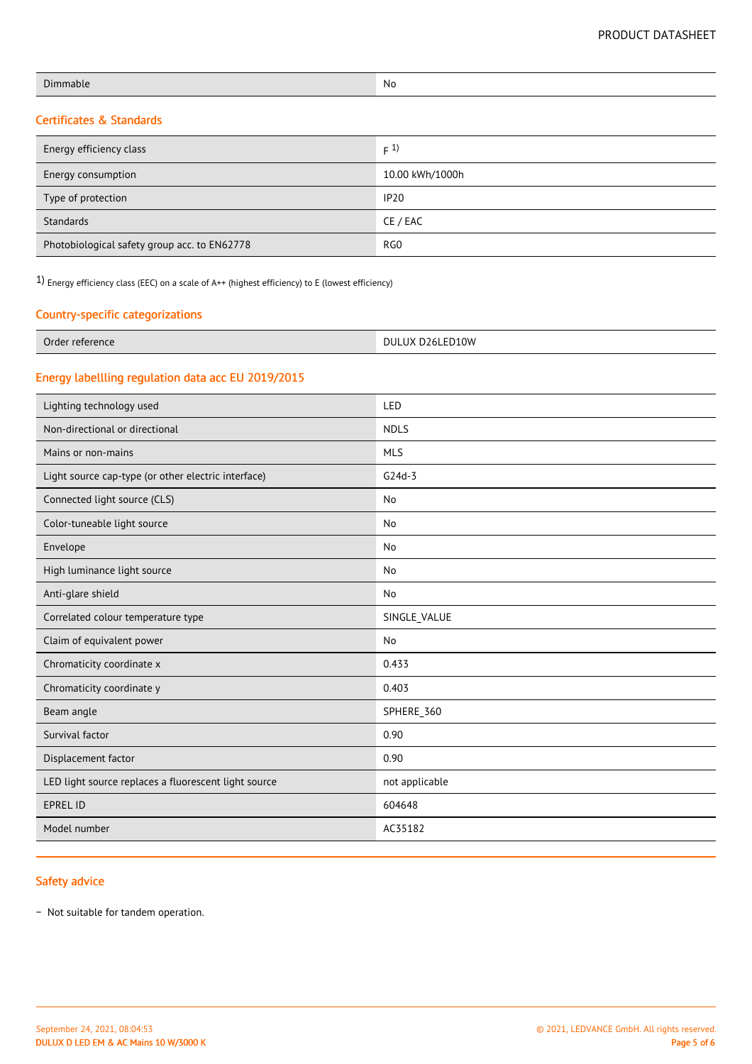| <b>Dimmable</b> | No |
|-----------------|----|
|                 |    |

# Certificates & Standards

| Energy efficiency class                      | F(1)            |
|----------------------------------------------|-----------------|
| Energy consumption                           | 10.00 kWh/1000h |
| Type of protection                           | <b>IP20</b>     |
| Standards                                    | CE / EAC        |
| Photobiological safety group acc. to EN62778 | RG <sub>0</sub> |

1) Energy efficiency class (EEC) on a scale of A++ (highest efficiency) to E (lowest efficiency)

## Country-specific categorizations

| $\sim$<br>ference<br>$\sim$<br>orde<br>. | D26LED10W<br>DUL<br>$\sqrt{ }$<br>--<br>.<br>. |
|------------------------------------------|------------------------------------------------|
|------------------------------------------|------------------------------------------------|

# Energy labellling regulation data acc EU 2019/2015

| Lighting technology used                             | LED            |
|------------------------------------------------------|----------------|
| Non-directional or directional                       | <b>NDLS</b>    |
| Mains or non-mains                                   | <b>MLS</b>     |
| Light source cap-type (or other electric interface)  | $G24d-3$       |
| Connected light source (CLS)                         | No             |
| Color-tuneable light source                          | No             |
| Envelope                                             | No             |
| High luminance light source                          | No             |
| Anti-glare shield                                    | No             |
| Correlated colour temperature type                   | SINGLE_VALUE   |
| Claim of equivalent power                            | No             |
| Chromaticity coordinate x                            | 0.433          |
| Chromaticity coordinate y                            | 0.403          |
| Beam angle                                           | SPHERE_360     |
| Survival factor                                      | 0.90           |
| Displacement factor                                  | 0.90           |
| LED light source replaces a fluorescent light source | not applicable |
| <b>EPREL ID</b>                                      | 604648         |
| Model number                                         | AC35182        |
|                                                      |                |

## Safety advice

− Not suitable for tandem operation.